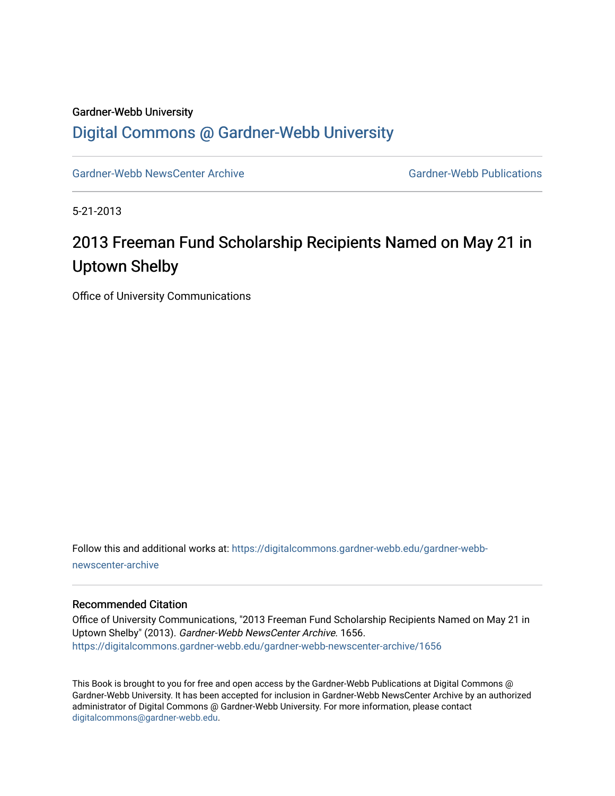#### Gardner-Webb University

## [Digital Commons @ Gardner-Webb University](https://digitalcommons.gardner-webb.edu/)

[Gardner-Webb NewsCenter Archive](https://digitalcommons.gardner-webb.edu/gardner-webb-newscenter-archive) Gardner-Webb Publications

5-21-2013

# 2013 Freeman Fund Scholarship Recipients Named on May 21 in Uptown Shelby

Office of University Communications

Follow this and additional works at: [https://digitalcommons.gardner-webb.edu/gardner-webb](https://digitalcommons.gardner-webb.edu/gardner-webb-newscenter-archive?utm_source=digitalcommons.gardner-webb.edu%2Fgardner-webb-newscenter-archive%2F1656&utm_medium=PDF&utm_campaign=PDFCoverPages)[newscenter-archive](https://digitalcommons.gardner-webb.edu/gardner-webb-newscenter-archive?utm_source=digitalcommons.gardner-webb.edu%2Fgardner-webb-newscenter-archive%2F1656&utm_medium=PDF&utm_campaign=PDFCoverPages)

#### Recommended Citation

Office of University Communications, "2013 Freeman Fund Scholarship Recipients Named on May 21 in Uptown Shelby" (2013). Gardner-Webb NewsCenter Archive. 1656. [https://digitalcommons.gardner-webb.edu/gardner-webb-newscenter-archive/1656](https://digitalcommons.gardner-webb.edu/gardner-webb-newscenter-archive/1656?utm_source=digitalcommons.gardner-webb.edu%2Fgardner-webb-newscenter-archive%2F1656&utm_medium=PDF&utm_campaign=PDFCoverPages) 

This Book is brought to you for free and open access by the Gardner-Webb Publications at Digital Commons @ Gardner-Webb University. It has been accepted for inclusion in Gardner-Webb NewsCenter Archive by an authorized administrator of Digital Commons @ Gardner-Webb University. For more information, please contact [digitalcommons@gardner-webb.edu](mailto:digitalcommons@gardner-webb.edu).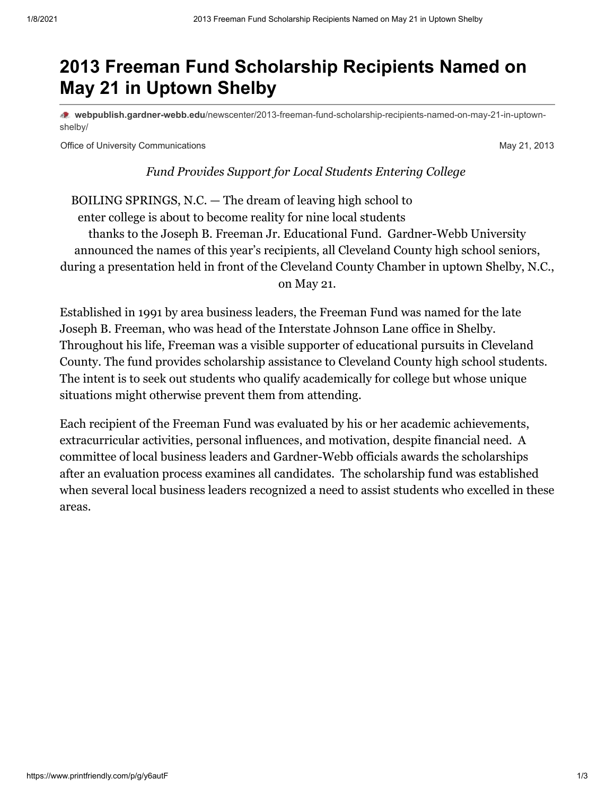# **2013 Freeman Fund Scholarship Recipients Named on May 21 in Uptown Shelby**

**webpublish.gardner-webb.edu**[/newscenter/2013-freeman-fund-scholarship-recipients-named-on-may-21-in-uptown](https://webpublish.gardner-webb.edu/newscenter/2013-freeman-fund-scholarship-recipients-named-on-may-21-in-uptown-shelby/)shelby/

Office of University Communications May 21, 2013

*Fund Provides Support for Local Students Entering College* 

BOILING SPRINGS, N.C. — The dream of leaving high school to enter college is about to become reality for nine local students thanks to the Joseph B. Freeman Jr. Educational Fund. Gardner-Webb University announced the names of this year's recipients, all Cleveland County high school seniors, during a presentation held in front of the Cleveland County Chamber in uptown Shelby, N.C., on May 21.

Established in 1991 by area business leaders, the Freeman Fund was named for the late Joseph B. Freeman, who was head of the Interstate Johnson Lane office in Shelby. Throughout his life, Freeman was a visible supporter of educational pursuits in Cleveland County. The fund provides scholarship assistance to Cleveland County high school students. The intent is to seek out students who qualify academically for college but whose unique situations might otherwise prevent them from attending.

Each recipient of the Freeman Fund was evaluated by his or her academic achievements, extracurricular activities, personal influences, and motivation, despite financial need. A committee of local business leaders and Gardner-Webb officials awards the scholarships after an evaluation process examines all candidates. The scholarship fund was established when several local business leaders recognized a need to assist students who excelled in these areas.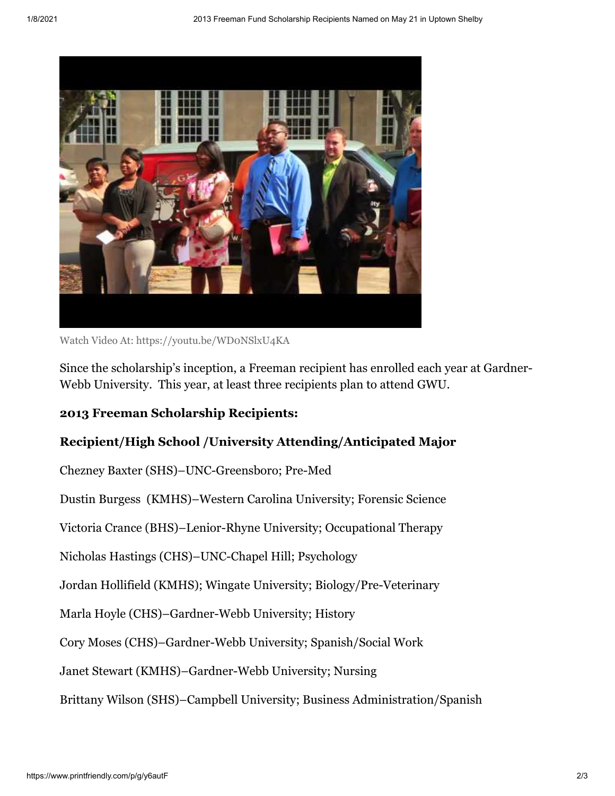

Watch Video [At: https://youtu.be/WD0NSlxU4KA](https://youtu.be/WD0NSlxU4KA)

Since the scholarship's inception, a Freeman recipient has enrolled each year at Gardner-Webb University. This year, at least three recipients plan to attend GWU.

### **2013 Freeman Scholarship Recipients:**

### **Recipient/High School /University Attending/Anticipated Major**

Chezney Baxter (SHS)–UNC-Greensboro; Pre-Med

Dustin Burgess (KMHS)–Western Carolina University; Forensic Science

Victoria Crance (BHS)–Lenior-Rhyne University; Occupational Therapy

Nicholas Hastings (CHS)–UNC-Chapel Hill; Psychology

Jordan Hollifield (KMHS); Wingate University; Biology/Pre-Veterinary

Marla Hoyle (CHS)–Gardner-Webb University; History

Cory Moses (CHS)–Gardner-Webb University; Spanish/Social Work

Janet Stewart (KMHS)–Gardner-Webb University; Nursing

Brittany Wilson (SHS)–Campbell University; Business Administration/Spanish